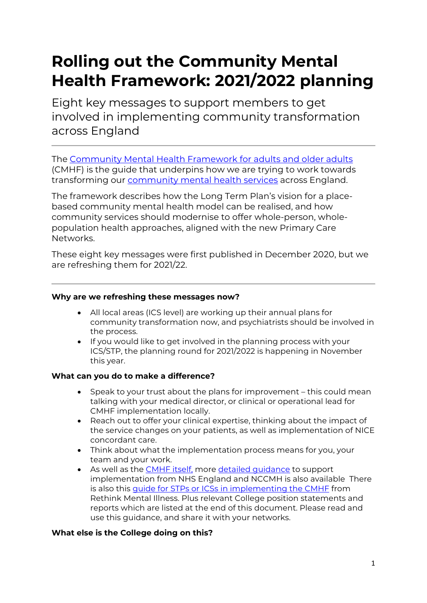# **Rolling out the Community Mental Health Framework: 2021/2022 planning**

Eight key messages to support members to get involved in implementing community transformation across England

The [Community Mental Health Framework](https://www.england.nhs.uk/publication/the-community-mental-health-framework-for-adults-and-older-adults/) for adults and older adults (CMHF) is the guide that underpins how we are trying to work towards transforming our [community mental health services](https://www.england.nhs.uk/mental-health/adults/cmhs/) across England.

The framework describes how the Long Term Plan's vision for a placebased community mental health model can be realised, and how community services should modernise to offer whole-person, wholepopulation health approaches, aligned with the new Primary Care Networks.

These eight key messages were first published in December 2020, but we are refreshing them for 2021/22.

#### **Why are we refreshing these messages now?**

- All local areas (ICS level) are working up their annual plans for community transformation now, and psychiatrists should be involved in the process.
- If you would like to get involved in the planning process with your ICS/STP, the planning round for 2021/2022 is happening in November this year.

### **What can you do to make a difference?**

- Speak to your trust about the plans for improvement this could mean talking with your medical director, or clinical or operational lead for CMHF implementation locally.
- Reach out to offer your clinical expertise, thinking about the impact of the service changes on your patients, as well as implementation of NICE concordant care.
- Think about what the implementation process means for you, your team and your work.
- As well as the [CMHF itself,](https://www.rethink.org/aboutus/what-we-do/mental-health-service-provider/rethink-mental-illness-stp-guide/) more [detailed guidance](https://www.rcpsych.ac.uk/improving-care/nccmh/care-pathways/community-framework) to support implementation from NHS England and NCCMH is also available There is also this [guide for STPs or ICSs in implementing the CMHF](https://www.rethink.org/aboutus/what-we-do/mental-health-service-provider/rethink-mental-illness-stp-guide/) from Rethink Mental Illness. Plus relevant College position statements and reports which are listed at the end of this document. Please read and use this guidance, and share it with your networks.

### **What else is the College doing on this?**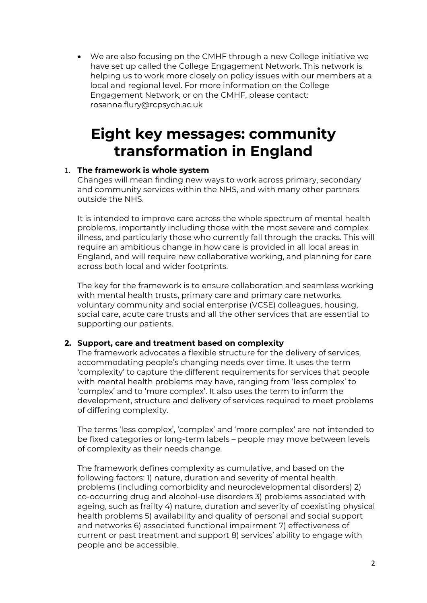• We are also focusing on the CMHF through a new College initiative we have set up called the College Engagement Network. This network is helping us to work more closely on policy issues with our members at a local and regional level. For more information on the College Engagement Network, or on the CMHF, please contact: rosanna.flury@rcpsych.ac.uk

# **Eight key messages: community transformation in England**

### 1. **The framework is whole system**

Changes will mean finding new ways to work across primary, secondary and community services within the NHS, and with many other partners outside the NHS.

It is intended to improve care across the whole spectrum of mental health problems, importantly including those with the most severe and complex illness, and particularly those who currently fall through the cracks. This will require an ambitious change in how care is provided in all local areas in England, and will require new collaborative working, and planning for care across both local and wider footprints.

The key for the framework is to ensure collaboration and seamless working with mental health trusts, primary care and primary care networks, voluntary community and social enterprise (VCSE) colleagues, housing, social care, acute care trusts and all the other services that are essential to supporting our patients.

### **2. Support, care and treatment based on complexity**

The framework advocates a flexible structure for the delivery of services, accommodating people's changing needs over time. It uses the term 'complexity' to capture the different requirements for services that people with mental health problems may have, ranging from 'less complex' to 'complex' and to 'more complex'. It also uses the term to inform the development, structure and delivery of services required to meet problems of differing complexity.

The terms 'less complex', 'complex' and 'more complex' are not intended to be fixed categories or long-term labels – people may move between levels of complexity as their needs change.

The framework defines complexity as cumulative, and based on the following factors: 1) nature, duration and severity of mental health problems (including comorbidity and neurodevelopmental disorders) 2) co-occurring drug and alcohol-use disorders 3) problems associated with ageing, such as frailty 4) nature, duration and severity of coexisting physical health problems 5) availability and quality of personal and social support and networks 6) associated functional impairment 7) effectiveness of current or past treatment and support 8) services' ability to engage with people and be accessible.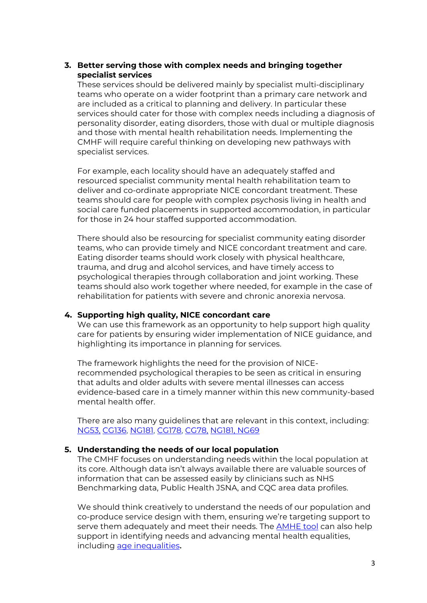#### **3. Better serving those with complex needs and bringing together specialist services**

These services should be delivered mainly by specialist multi-disciplinary teams who operate on a wider footprint than a primary care network and are included as a critical to planning and delivery. In particular these services should cater for those with complex needs including a diagnosis of personality disorder, eating disorders, those with dual or multiple diagnosis and those with mental health rehabilitation needs. Implementing the CMHF will require careful thinking on developing new pathways with specialist services.

For example, each locality should have an adequately staffed and resourced specialist community mental health rehabilitation team to deliver and co-ordinate appropriate NICE concordant treatment. These teams should care for people with complex psychosis living in health and social care funded placements in supported accommodation, in particular for those in 24 hour staffed supported accommodation.

There should also be resourcing for specialist community eating disorder teams, who can provide timely and NICE concordant treatment and care. Eating disorder teams should work closely with physical healthcare, trauma, and drug and alcohol services, and have timely access to psychological therapies through collaboration and joint working. These teams should also work together where needed, for example in the case of rehabilitation for patients with severe and chronic anorexia nervosa.

#### **4. Supporting high quality, NICE concordant care**

We can use this framework as an opportunity to help support high quality care for patients by ensuring wider implementation of NICE guidance, and highlighting its importance in planning for services.

The framework highlights the need for the provision of NICErecommended psychological therapies to be seen as critical in ensuring that adults and older adults with severe mental illnesses can access evidence-based care in a timely manner within this new community-based mental health offer.

There are also many guidelines that are relevant in this context, including: NG53, [CG136,](https://eur01.safelinks.protection.outlook.com/?url=https%3A%2F%2Fwww.nice.org.uk%2Fguidance%2Fcg136&data=04%7C01%7CRosanna.Flury%40rcpsych.ac.uk%7C75a0a91fd1d747fb37b408d892333937%7C75aac48a29ab4230adac69d3e7ed3e77%7C1%7C1%7C637420096545941412%7CUnknown%7CTWFpbGZsb3d8eyJWIjoiMC4wLjAwMDAiLCJQIjoiV2luMzIiLCJBTiI6Ik1haWwiLCJXVCI6Mn0%3D%7C1000&sdata=NWCc3bQfBF%2BeWxOVniwDHvSfuWFOqpR8xNr%2FJ2Hiz0w%3D&reserved=0) [NG181,](https://eur01.safelinks.protection.outlook.com/?url=https%3A%2F%2Fwww.nice.org.uk%2Fguidance%2Fng181&data=04%7C01%7CRosanna.Flury%40rcpsych.ac.uk%7C75a0a91fd1d747fb37b408d892333937%7C75aac48a29ab4230adac69d3e7ed3e77%7C1%7C1%7C637420096545941412%7CUnknown%7CTWFpbGZsb3d8eyJWIjoiMC4wLjAwMDAiLCJQIjoiV2luMzIiLCJBTiI6Ik1haWwiLCJXVCI6Mn0%3D%7C1000&sdata=j7qRfPcK6q%2F7XGVFTJc2trdXAl%2B%2BwwfOWvnC0U6IQHU%3D&reserved=0) [CG178,](https://www.nice.org.uk/guidance/CG178) [CG78,](https://www.nice.org.uk/guidance/cg78) [NG181,](https://www.nice.org.uk/guidance/ng181) [NG69](https://www.nice.org.uk/guidance/ng69)

#### **5. Understanding the needs of our local population**

The CMHF focuses on understanding needs within the local population at its core. Although data isn't always available there are valuable sources of information that can be assessed easily by clinicians such as NHS Benchmarking data, Public Health JSNA, and CQC area data profiles.

We should think creatively to understand the needs of our population and co-produce service design with them, ensuring we're targeting support to serve them adequately and meet their needs. The [AMHE tool](https://www.rcpsych.ac.uk/improving-care/nccmh/care-pathways/advancing-mental-health-equality) can also help support in identifying needs and advancing mental health equalities, including [age inequalities](https://www.rcpsych.ac.uk/docs/default-source/improving-care/better-mh-policy/college-reports/college-report-cr221.pdf?sfvrsn=bef8f65d_2)**.**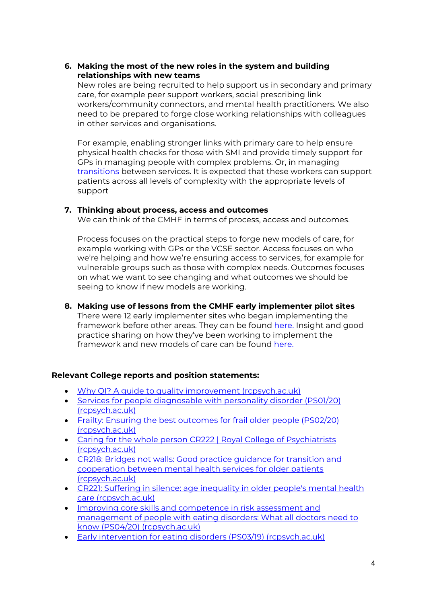## **6. Making the most of the new roles in the system and building relationships with new teams**

New roles are being recruited to help support us in secondary and primary care, for example peer support workers, social prescribing link workers/community connectors, and mental health practitioners. We also need to be prepared to forge close working relationships with colleagues in other services and organisations.

For example, enabling stronger links with primary care to help ensure physical health checks for those with SMI and provide timely support for GPs in managing people with complex problems. Or, in managing [transitions](https://www.rcpsych.ac.uk/docs/default-source/improving-care/better-mh-policy/college-reports/cr218.pdf) between services. It is expected that these workers can support patients across all levels of complexity with the appropriate levels of support

### **7. Thinking about process, access and outcomes**

We can think of the CMHF in terms of process, access and outcomes.

Process focuses on the practical steps to forge new models of care, for example working with GPs or the VCSE sector. Access focuses on who we're helping and how we're ensuring access to services, for example for vulnerable groups such as those with complex needs. Outcomes focuses on what we want to see changing and what outcomes we should be seeing to know if new models are working.

**8. Making use of lessons from the CMHF early implementer pilot sites** There were 12 early implementer sites who began implementing the framework before other areas. They can be found [here.](https://www.england.nhs.uk/mental-health/adults/cmhs/) Insight and good practice sharing on how they've been working to implement the framework and new models of care can be found [here.](https://www.rethink.org/aboutus/what-we-do/somerset-recovery-wellbeing-alliance/)

### **Relevant College reports and position statements:**

- [Why QI? A guide to quality improvement \(rcpsych.ac.uk\)](https://www.rcpsych.ac.uk/docs/default-source/members/faculties/general-adult-psychiatry/general-adult-gapqibooklet.pdf?sfvrsn=6224c536_4)
- [Services for people diagnosable with personality disorder \(PS01/20\)](https://www.rcpsych.ac.uk/docs/default-source/improving-care/better-mh-policy/position-statements/ps01_20.pdf?sfvrsn=85af7fbc_2)  [\(rcpsych.ac.uk\)](https://www.rcpsych.ac.uk/docs/default-source/improving-care/better-mh-policy/position-statements/ps01_20.pdf?sfvrsn=85af7fbc_2)
- [Frailty: Ensuring the best outcomes for frail older people \(PS02/20\)](https://www.rcpsych.ac.uk/docs/default-source/improving-care/better-mh-policy/position-statements/ps02_20.pdf?sfvrsn=65bb8710_2)  [\(rcpsych.ac.uk\)](https://www.rcpsych.ac.uk/docs/default-source/improving-care/better-mh-policy/position-statements/ps02_20.pdf?sfvrsn=65bb8710_2)
- [Caring for the whole person CR222 | Royal College of Psychiatrists](https://www.rcpsych.ac.uk/improving-care/campaigning-for-better-mental-health-policy/college-reports/2019-college-reports/cr222)  [\(rcpsych.ac.uk\)](https://www.rcpsych.ac.uk/improving-care/campaigning-for-better-mental-health-policy/college-reports/2019-college-reports/cr222)
- [CR218: Bridges not walls: Good practice guidance for transition and](https://www.rcpsych.ac.uk/improving-care/campaigning-for-better-mental-health-policy/college-reports/2019-college-reports/bridges-not-walls-good-practice-guidance-for-transition-and-cooperation-between-mental-health-services-for-older-patients-(cr218-may-2019))  [cooperation between mental health services for older patients](https://www.rcpsych.ac.uk/improving-care/campaigning-for-better-mental-health-policy/college-reports/2019-college-reports/bridges-not-walls-good-practice-guidance-for-transition-and-cooperation-between-mental-health-services-for-older-patients-(cr218-may-2019))  [\(rcpsych.ac.uk\)](https://www.rcpsych.ac.uk/improving-care/campaigning-for-better-mental-health-policy/college-reports/2019-college-reports/bridges-not-walls-good-practice-guidance-for-transition-and-cooperation-between-mental-health-services-for-older-patients-(cr218-may-2019))
- [CR221: Suffering in silence: age inequality in older people's mental health](https://www.rcpsych.ac.uk/improving-care/campaigning-for-better-mental-health-policy/college-reports/cr221)  [care \(rcpsych.ac.uk\)](https://www.rcpsych.ac.uk/improving-care/campaigning-for-better-mental-health-policy/college-reports/cr221)
- [Improving core skills and](https://www.rcpsych.ac.uk/docs/default-source/improving-care/better-mh-policy/position-statements/ps04_20.pdf?sfvrsn=6c927307_2) competence in risk assessment and management [of people with eating disorders: What all doctors need to](https://www.rcpsych.ac.uk/docs/default-source/improving-care/better-mh-policy/position-statements/ps04_20.pdf?sfvrsn=6c927307_2)  [know \(PS04/20\) \(rcpsych.ac.uk\)](https://www.rcpsych.ac.uk/docs/default-source/improving-care/better-mh-policy/position-statements/ps04_20.pdf?sfvrsn=6c927307_2)
- [Early intervention for eating disorders \(PS03/19\) \(rcpsych.ac.uk\)](https://www.rcpsych.ac.uk/docs/default-source/improving-care/better-mh-policy/position-statements/ps03_19.pdf?sfvrsn=b1283556_2)